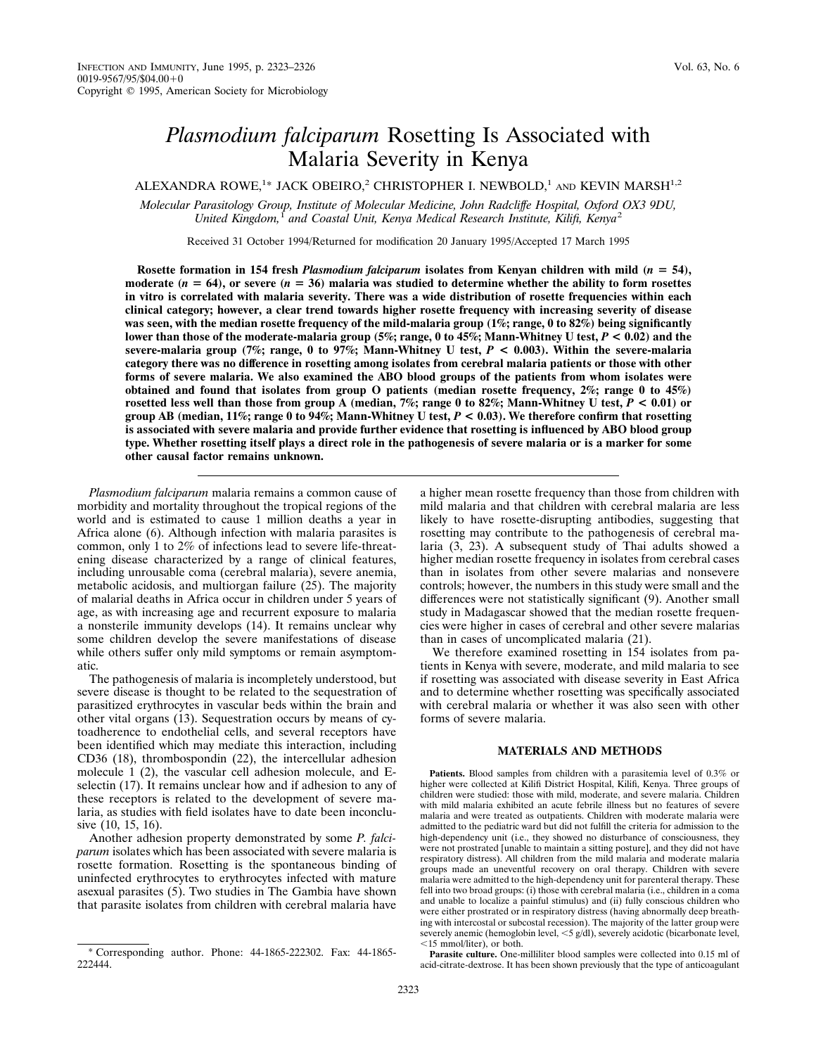# *Plasmodium falciparum* Rosetting Is Associated with Malaria Severity in Kenya

ALEXANDRA ROWE,<sup>1\*</sup> JACK OBEIRO,<sup>2</sup> CHRISTOPHER I. NEWBOLD,<sup>1</sup> and KEVIN MARSH<sup>1,2</sup>

*Molecular Parasitology Group, Institute of Molecular Medicine, John Radcliffe Hospital, Oxford OX3 9DU, United Kingdom,*<sup>1</sup> *and Coastal Unit, Kenya Medical Research Institute, Kilifi, Kenya*<sup>2</sup>

Received 31 October 1994/Returned for modification 20 January 1995/Accepted 17 March 1995

**Rosette formation in 154 fresh** *Plasmodium falciparum* **isolates from Kenyan children with mild (***n* 5 **54),** moderate  $(n = 64)$ , or severe  $(n = 36)$  malaria was studied to determine whether the ability to form rosettes **in vitro is correlated with malaria severity. There was a wide distribution of rosette frequencies within each clinical category; however, a clear trend towards higher rosette frequency with increasing severity of disease was seen, with the median rosette frequency of the mild-malaria group (1%; range, 0 to 82%) being significantly lower than those of the moderate-malaria group (5%; range, 0 to 45%; Mann-Whitney U test,** *P* **< 0.02) and the severe-malaria group (7%; range, 0 to 97%; Mann-Whitney U test,** *P* **< 0.003). Within the severe-malaria category there was no difference in rosetting among isolates from cerebral malaria patients or those with other forms of severe malaria. We also examined the ABO blood groups of the patients from whom isolates were obtained and found that isolates from group O patients (median rosette frequency, 2%; range 0 to 45%) rosetted less well than those from group A (median, 7%; range 0 to 82%; Mann-Whitney U test,** *P* **< 0.01) or group AB (median, 11%; range 0 to 94%; Mann-Whitney U test,** *P* **< 0.03). We therefore confirm that rosetting is associated with severe malaria and provide further evidence that rosetting is influenced by ABO blood group type. Whether rosetting itself plays a direct role in the pathogenesis of severe malaria or is a marker for some other causal factor remains unknown.**

*Plasmodium falciparum* malaria remains a common cause of morbidity and mortality throughout the tropical regions of the world and is estimated to cause 1 million deaths a year in Africa alone (6). Although infection with malaria parasites is common, only 1 to 2% of infections lead to severe life-threatening disease characterized by a range of clinical features, including unrousable coma (cerebral malaria), severe anemia, metabolic acidosis, and multiorgan failure (25). The majority of malarial deaths in Africa occur in children under 5 years of age, as with increasing age and recurrent exposure to malaria a nonsterile immunity develops (14). It remains unclear why some children develop the severe manifestations of disease while others suffer only mild symptoms or remain asymptomatic.

The pathogenesis of malaria is incompletely understood, but severe disease is thought to be related to the sequestration of parasitized erythrocytes in vascular beds within the brain and other vital organs (13). Sequestration occurs by means of cytoadherence to endothelial cells, and several receptors have been identified which may mediate this interaction, including CD36 (18), thrombospondin (22), the intercellular adhesion molecule 1 (2), the vascular cell adhesion molecule, and Eselectin (17). It remains unclear how and if adhesion to any of these receptors is related to the development of severe malaria, as studies with field isolates have to date been inconclusive (10, 15, 16).

Another adhesion property demonstrated by some *P. falciparum* isolates which has been associated with severe malaria is rosette formation. Rosetting is the spontaneous binding of uninfected erythrocytes to erythrocytes infected with mature asexual parasites (5). Two studies in The Gambia have shown that parasite isolates from children with cerebral malaria have

a higher mean rosette frequency than those from children with mild malaria and that children with cerebral malaria are less likely to have rosette-disrupting antibodies, suggesting that rosetting may contribute to the pathogenesis of cerebral malaria (3, 23). A subsequent study of Thai adults showed a higher median rosette frequency in isolates from cerebral cases than in isolates from other severe malarias and nonsevere controls; however, the numbers in this study were small and the differences were not statistically significant (9). Another small study in Madagascar showed that the median rosette frequencies were higher in cases of cerebral and other severe malarias than in cases of uncomplicated malaria (21).

We therefore examined rosetting in 154 isolates from patients in Kenya with severe, moderate, and mild malaria to see if rosetting was associated with disease severity in East Africa and to determine whether rosetting was specifically associated with cerebral malaria or whether it was also seen with other forms of severe malaria.

# **MATERIALS AND METHODS**

**Patients.** Blood samples from children with a parasitemia level of 0.3% or higher were collected at Kilifi District Hospital, Kilifi, Kenya. Three groups of children were studied: those with mild, moderate, and severe malaria. Children with mild malaria exhibited an acute febrile illness but no features of severe malaria and were treated as outpatients. Children with moderate malaria were admitted to the pediatric ward but did not fulfill the criteria for admission to the high-dependency unit (i.e., they showed no disturbance of consciousness, they were not prostrated [unable to maintain a sitting posture], and they did not have respiratory distress). All children from the mild malaria and moderate malaria groups made an uneventful recovery on oral therapy. Children with severe malaria were admitted to the high-dependency unit for parenteral therapy. These fell into two broad groups: (i) those with cerebral malaria (i.e., children in a coma and unable to localize a painful stimulus) and (ii) fully conscious children who were either prostrated or in respiratory distress (having abnormally deep breathing with intercostal or subcostal recession). The majority of the latter group were severely anemic (hemoglobin level,  $\lt5$  g/dl), severely acidotic (bicarbonate level,  $<$ 15 mmol/liter), or both.

**Parasite culture.** One-milliliter blood samples were collected into 0.15 ml of acid-citrate-dextrose. It has been shown previously that the type of anticoagulant

<sup>\*</sup> Corresponding author. Phone: 44-1865-222302. Fax: 44-1865- 222444.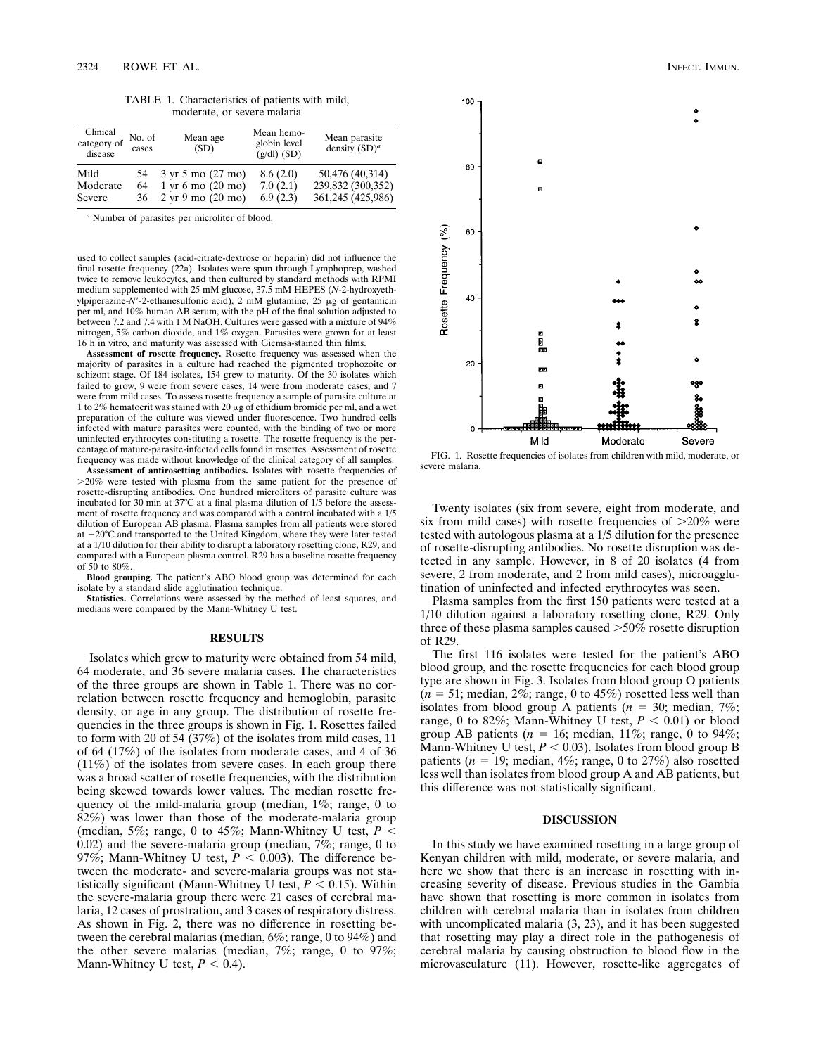TABLE 1. Characteristics of patients with mild, moderate, or severe malaria

| Clinical<br>category of<br>disease | No. of<br>cases | Mean age<br>(SD)                              | Mean hemo-<br>globin level<br>$(g/dl)$ (SD) | Mean parasite<br>density $(SD)^a$ |
|------------------------------------|-----------------|-----------------------------------------------|---------------------------------------------|-----------------------------------|
| Mild                               | 54              | 3 yr 5 mo (27 mo)                             | 8.6(2.0)                                    | 50,476 (40,314)                   |
| Moderate                           | 64              | $1 \text{ yr} 6 \text{ mo} (20 \text{ mo})$   | 7.0(2.1)                                    | 239,832 (300,352)                 |
| Severe                             | 36              | $2 \text{ yr } 9 \text{ mo } (20 \text{ mo})$ | 6.9(2.3)                                    | 361,245 (425,986)                 |

*<sup>a</sup>* Number of parasites per microliter of blood.

used to collect samples (acid-citrate-dextrose or heparin) did not influence the final rosette frequency (22a). Isolates were spun through Lymphoprep, washed twice to remove leukocytes, and then cultured by standard methods with RPMI medium supplemented with 25 mM glucose, 37.5 mM HEPES (*N*-2-hydroxyethylpiperazine-*N'*-2-ethanesulfonic acid), 2 mM glutamine, 25 μg of gentamicin per ml, and 10% human AB serum, with the pH of the final solution adjusted to between 7.2 and 7.4 with 1 M NaOH. Cultures were gassed with a mixture of 94% nitrogen, 5% carbon dioxide, and 1% oxygen. Parasites were grown for at least 16 h in vitro, and maturity was assessed with Giemsa-stained thin films.

**Assessment of rosette frequency.** Rosette frequency was assessed when the majority of parasites in a culture had reached the pigmented trophozoite or schizont stage. Of 184 isolates, 154 grew to maturity. Of the 30 isolates which failed to grow, 9 were from severe cases, 14 were from moderate cases, and 7 were from mild cases. To assess rosette frequency a sample of parasite culture at 1 to 2% hematocrit was stained with 20  $\mu$ g of ethidium bromide per ml, and a wet preparation of the culture was viewed under fluorescence. Two hundred cells infected with mature parasites were counted, with the binding of two or more uninfected erythrocytes constituting a rosette. The rosette frequency is the percentage of mature-parasite-infected cells found in rosettes. Assessment of rosette frequency was made without knowledge of the clinical category of all samples.

Assessment of antirosetting antibodies. Isolates with rosette frequencies of .20% were tested with plasma from the same patient for the presence of rosette-disrupting antibodies. One hundred microliters of parasite culture was incubated for 30 min at 37 $^{\circ}$ C at a final plasma dilution of 1/5 before the assessment of rosette frequency and was compared with a control incubated with a 1/5 dilution of European AB plasma. Plasma samples from all patients were stored at  $-20^{\circ}$ C and transported to the United Kingdom, where they were later tested at a 1/10 dilution for their ability to disrupt a laboratory rosetting clone, R29, and compared with a European plasma control. R29 has a baseline rosette frequency of  $50$  to  $80\%$ .

**Blood grouping.** The patient's ABO blood group was determined for each isolate by a standard slide agglutination technique.

Statistics. Correlations were assessed by the method of least squares, and medians were compared by the Mann-Whitney U test.

### **RESULTS**

Isolates which grew to maturity were obtained from 54 mild, 64 moderate, and 36 severe malaria cases. The characteristics of the three groups are shown in Table 1. There was no correlation between rosette frequency and hemoglobin, parasite density, or age in any group. The distribution of rosette frequencies in the three groups is shown in Fig. 1. Rosettes failed to form with 20 of 54  $(37\%)$  of the isolates from mild cases, 11 of 64 (17%) of the isolates from moderate cases, and 4 of 36 (11%) of the isolates from severe cases. In each group there was a broad scatter of rosette frequencies, with the distribution being skewed towards lower values. The median rosette frequency of the mild-malaria group (median, 1%; range, 0 to 82%) was lower than those of the moderate-malaria group (median, 5%; range, 0 to 45%; Mann-Whitney U test,  $P \leq$ 0.02) and the severe-malaria group (median, 7%; range, 0 to 97%; Mann-Whitney U test,  $P < 0.003$ ). The difference between the moderate- and severe-malaria groups was not statistically significant (Mann-Whitney U test,  $P < 0.15$ ). Within the severe-malaria group there were 21 cases of cerebral malaria, 12 cases of prostration, and 3 cases of respiratory distress. As shown in Fig. 2, there was no difference in rosetting between the cerebral malarias (median, 6%; range, 0 to 94%) and the other severe malarias (median, 7%; range, 0 to 97%; Mann-Whitney U test,  $P < 0.4$ ).



FIG. 1. Rosette frequencies of isolates from children with mild, moderate, or severe malaria.

Twenty isolates (six from severe, eight from moderate, and six from mild cases) with rosette frequencies of  $>20\%$  were tested with autologous plasma at a 1/5 dilution for the presence of rosette-disrupting antibodies. No rosette disruption was detected in any sample. However, in 8 of 20 isolates (4 from severe, 2 from moderate, and 2 from mild cases), microagglutination of uninfected and infected erythrocytes was seen.

Plasma samples from the first 150 patients were tested at a 1/10 dilution against a laboratory rosetting clone, R29. Only three of these plasma samples caused  $>50\%$  rosette disruption of R29.

The first 116 isolates were tested for the patient's ABO blood group, and the rosette frequencies for each blood group type are shown in Fig. 3. Isolates from blood group O patients  $(n = 51; \text{ median}, 2\%; \text{range}, 0 \text{ to } 45\%)$  rosetted less well than isolates from blood group A patients ( $n = 30$ ; median, 7%; range, 0 to 82%; Mann-Whitney U test,  $P < 0.01$ ) or blood group AB patients ( $n = 16$ ; median, 11%; range, 0 to 94%; Mann-Whitney U test,  $P < 0.03$ ). Isolates from blood group B patients ( $n = 19$ ; median, 4%; range, 0 to 27%) also rosetted less well than isolates from blood group A and AB patients, but this difference was not statistically significant.

# **DISCUSSION**

In this study we have examined rosetting in a large group of Kenyan children with mild, moderate, or severe malaria, and here we show that there is an increase in rosetting with increasing severity of disease. Previous studies in the Gambia have shown that rosetting is more common in isolates from children with cerebral malaria than in isolates from children with uncomplicated malaria  $(3, 23)$ , and it has been suggested that rosetting may play a direct role in the pathogenesis of cerebral malaria by causing obstruction to blood flow in the microvasculature (11). However, rosette-like aggregates of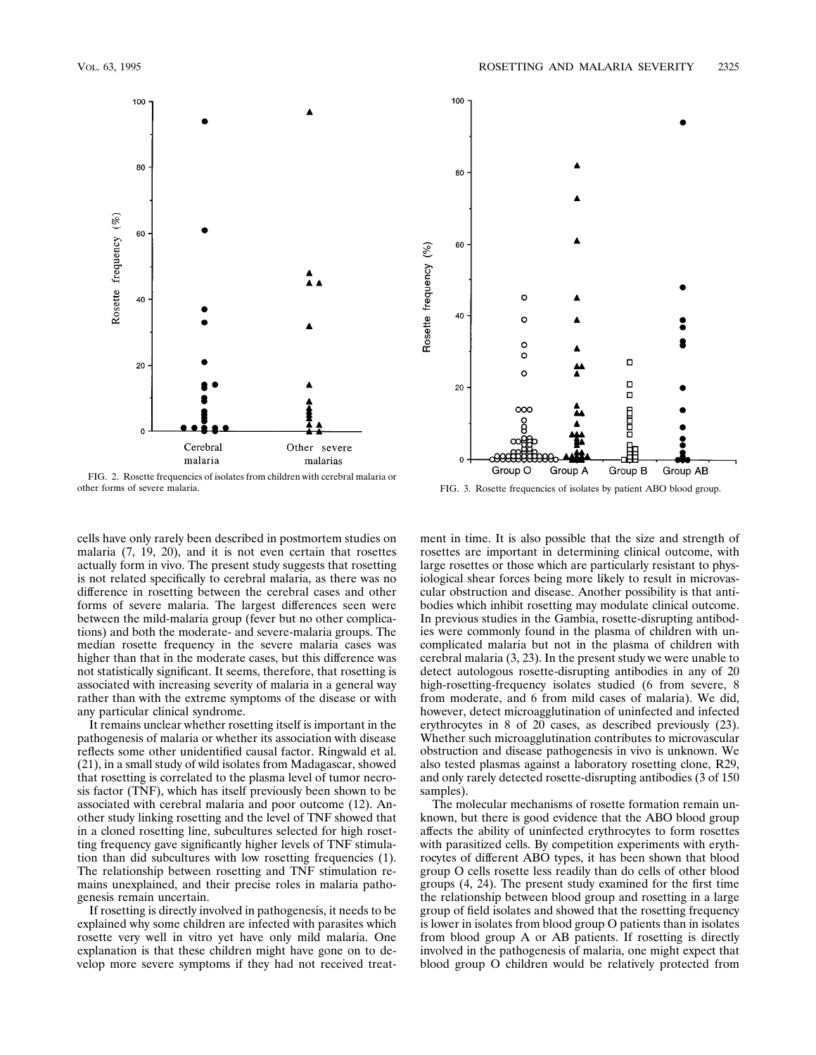

FIG. 2. Rosette frequencies of isolates from children with cerebral malaria or



FIG. 3. Rosette frequencies of isolates by patient ABO blood group.

cells have only rarely been described in postmortem studies on malaria (7, 19, 20), and it is not even certain that rosettes actually form in vivo. The present study suggests that rosetting is not related specifically to cerebral malaria, as there was no difference in rosetting between the cerebral cases and other forms of severe malaria. The largest differences seen were between the mild-malaria group (fever but no other complications) and both the moderate- and severe-malaria groups. The median rosette frequency in the severe malaria cases was higher than that in the moderate cases, but this difference was not statistically significant. It seems, therefore, that rosetting is associated with increasing severity of malaria in a general way rather than with the extreme symptoms of the disease or with any particular clinical syndrome.

It remains unclear whether rosetting itself is important in the pathogenesis of malaria or whether its association with disease reflects some other unidentified causal factor. Ringwald et al. (21), in a small study of wild isolates from Madagascar, showed that rosetting is correlated to the plasma level of tumor necrosis factor (TNF), which has itself previously been shown to be associated with cerebral malaria and poor outcome (12). Another study linking rosetting and the level of TNF showed that in a cloned rosetting line, subcultures selected for high rosetting frequency gave significantly higher levels of TNF stimulation than did subcultures with low rosetting frequencies (1). The relationship between rosetting and TNF stimulation remains unexplained, and their precise roles in malaria pathogenesis remain uncertain.

If rosetting is directly involved in pathogenesis, it needs to be explained why some children are infected with parasites which rosette very well in vitro yet have only mild malaria. One explanation is that these children might have gone on to develop more severe symptoms if they had not received treatment in time. It is also possible that the size and strength of rosettes are important in determining clinical outcome, with large rosettes or those which are particularly resistant to physiological shear forces being more likely to result in microvascular obstruction and disease. Another possibility is that antibodies which inhibit rosetting may modulate clinical outcome. In previous studies in the Gambia, rosette-disrupting antibodies were commonly found in the plasma of children with uncomplicated malaria but not in the plasma of children with cerebral malaria (3, 23). In the present study we were unable to detect autologous rosette-disrupting antibodies in any of 20 high-rosetting-frequency isolates studied (6 from severe, 8 from moderate, and 6 from mild cases of malaria). We did, however, detect microagglutination of uninfected and infected erythrocytes in 8 of 20 cases, as described previously (23). Whether such microagglutination contributes to microvascular obstruction and disease pathogenesis in vivo is unknown. We also tested plasmas against a laboratory rosetting clone, R29, and only rarely detected rosette-disrupting antibodies (3 of 150 samples).

The molecular mechanisms of rosette formation remain unknown, but there is good evidence that the ABO blood group affects the ability of uninfected erythrocytes to form rosettes with parasitized cells. By competition experiments with erythrocytes of different ABO types, it has been shown that blood group O cells rosette less readily than do cells of other blood groups (4, 24). The present study examined for the first time the relationship between blood group and rosetting in a large group of field isolates and showed that the rosetting frequency is lower in isolates from blood group O patients than in isolates from blood group A or AB patients. If rosetting is directly involved in the pathogenesis of malaria, one might expect that blood group O children would be relatively protected from